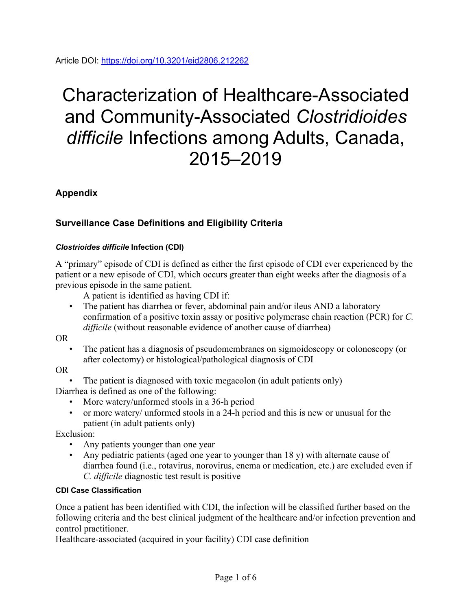# Characterization of Healthcare-Associated and Community-Associated *Clostridioides difficile* Infections among Adults, Canada, 2015–2019

**Appendix**

## **Surveillance Case Definitions and Eligibility Criteria**

#### *Clostrioides difficile* **Infection (CDI)**

A "primary" episode of CDI is defined as either the first episode of CDI ever experienced by the patient or a new episode of CDI, which occurs greater than eight weeks after the diagnosis of a previous episode in the same patient.

A patient is identified as having CDI if:

• The patient has diarrhea or fever, abdominal pain and/or ileus AND a laboratory confirmation of a positive toxin assay or positive polymerase chain reaction (PCR) for *C. difficile* (without reasonable evidence of another cause of diarrhea)

OR

• The patient has a diagnosis of pseudomembranes on sigmoidoscopy or colonoscopy (or after colectomy) or histological/pathological diagnosis of CDI

OR

• The patient is diagnosed with toxic megacolon (in adult patients only)

Diarrhea is defined as one of the following:

- More watery/unformed stools in a 36-h period
- or more watery/ unformed stools in a 24-h period and this is new or unusual for the patient (in adult patients only)

Exclusion:

- Any patients younger than one year
- Any pediatric patients (aged one year to younger than 18 y) with alternate cause of diarrhea found (i.e., rotavirus, norovirus, enema or medication, etc.) are excluded even if *C. difficile* diagnostic test result is positive

### **CDI Case Classification**

Once a patient has been identified with CDI, the infection will be classified further based on the following criteria and the best clinical judgment of the healthcare and/or infection prevention and control practitioner.

Healthcare-associated (acquired in your facility) CDI case definition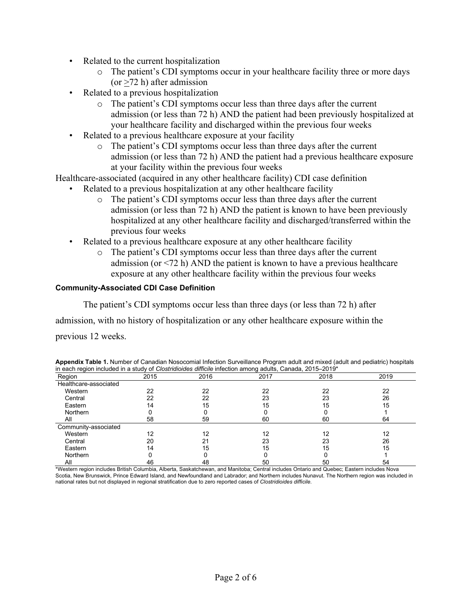- Related to the current hospitalization
	- o The patient's CDI symptoms occur in your healthcare facility three or more days  $(or >72 h)$  after admission
- Related to a previous hospitalization
	- o The patient's CDI symptoms occur less than three days after the current admission (or less than 72 h) AND the patient had been previously hospitalized at your healthcare facility and discharged within the previous four weeks
- Related to a previous healthcare exposure at your facility
	- o The patient's CDI symptoms occur less than three days after the current admission (or less than 72 h) AND the patient had a previous healthcare exposure at your facility within the previous four weeks

Healthcare-associated (acquired in any other healthcare facility) CDI case definition

- Related to a previous hospitalization at any other healthcare facility
	- o The patient's CDI symptoms occur less than three days after the current admission (or less than 72 h) AND the patient is known to have been previously hospitalized at any other healthcare facility and discharged/transferred within the previous four weeks
- Related to a previous healthcare exposure at any other healthcare facility
	- o The patient's CDI symptoms occur less than three days after the current admission (or  $\leq$ 72 h) AND the patient is known to have a previous healthcare exposure at any other healthcare facility within the previous four weeks

#### **Community-Associated CDI Case Definition**

The patient's CDI symptoms occur less than three days (or less than 72 h) after

admission, with no history of hospitalization or any other healthcare exposure within the

previous 12 weeks.

|                                                                                                                       |  | Appendix Table 1. Number of Canadian Nosocomial Infection Surveillance Program adult and mixed (adult and pediatric) hospitals |
|-----------------------------------------------------------------------------------------------------------------------|--|--------------------------------------------------------------------------------------------------------------------------------|
| in each region included in a study of Clostridioides difficile infection among adults, Canada, 2015–2019 <sup>*</sup> |  |                                                                                                                                |
|                                                                                                                       |  |                                                                                                                                |

| Region                | 2015 | 2016 | $\ldots$<br>2017 | 2018 | 2019 |
|-----------------------|------|------|------------------|------|------|
| Healthcare-associated |      |      |                  |      |      |
| Western               | 22   | 22   | 22               | 22   | 22   |
| Central               | 22   | 22   | 23               | 23   | 26   |
| Eastern               | 14   | 15   | 15               | 15   | 15   |
| <b>Northern</b>       |      |      |                  |      |      |
| All                   | 58   | 59   | 60               | 60   | 64   |
| Community-associated  |      |      |                  |      |      |
| Western               | 12   | 12   | 12               | 12   | 12   |
| Central               | 20   | 21   | 23               | 23   | 26   |
| Eastern               | 4    | 15   | 15               | 15   | 15   |
| <b>Northern</b>       |      |      |                  |      |      |
| All                   | 46   | 48   | 50               | 50   | 54   |

\*Western region includes British Columbia, Alberta, Saskatchewan, and Manitoba; Central includes Ontario and Quebec; Eastern includes Nova Scotia, New Brunswick, Prince Edward Island, and Newfoundland and Labrador; and Northern includes Nunavut. The Northern region was included in national rates but not displayed in regional stratification due to zero reported cases of *Clostridioides difficile*.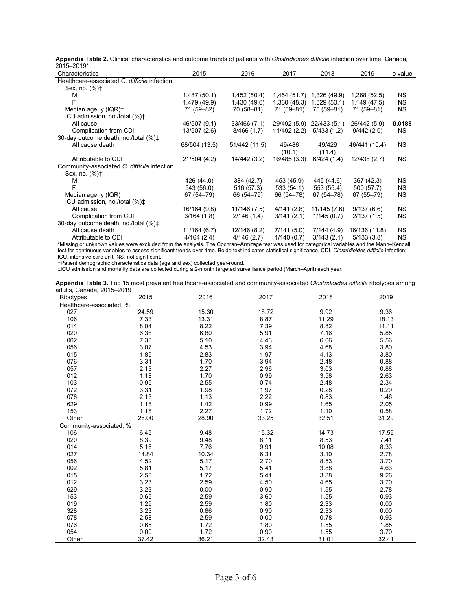**Appendix Table 2.** Clinical characteristics and outcome trends of patients with *Clostridioides difficile* infection over time, Canada, 2015–2019\*

| ∠ບ⊥ບ—∠ບ⊥ອ                                      |               |               |              |              |               |           |
|------------------------------------------------|---------------|---------------|--------------|--------------|---------------|-----------|
| Characteristics                                | 2015          | 2016          | 2017         | 2018         | 2019          | p value   |
| Healthcare-associated C. difficile infection   |               |               |              |              |               |           |
| Sex, no. $(\%)$ †                              |               |               |              |              |               |           |
| м                                              | 1,487 (50.1)  | 1,452 (50.4)  | 1,454 (51.7) | 1,326 (49.9) | 1,268 (52.5)  | <b>NS</b> |
|                                                | 1,479 (49.9)  | 1,430 (49.6)  | 1,360(48.3)  | 1,329(50.1)  | 1,149 (47.5)  | <b>NS</b> |
| Median age, y (IQR)+                           | 71 (59-82)    | 70 (58-81)    | 71 (59-81)   | 70 (59-81)   | 71 (59-81)    | <b>NS</b> |
| ICU admission, no./total (%) $\ddagger$        |               |               |              |              |               |           |
| All cause                                      | 46/507 (9.1)  | 33/466 (7.1)  | 29/492 (5.9) | 22/433 (5.1) | 26/442 (5.9)  | 0.0188    |
| Complication from CDI                          | 13/507 (2.6)  | 8/466(1.7)    | 11/492 (2.2) | 5/433(1.2)   | 9/442(2.0)    | <b>NS</b> |
| 30-day outcome death, no./total (%) $\ddagger$ |               |               |              |              |               |           |
| All cause death                                | 68/504 (13.5) | 51/442 (11.5) | 49/486       | 49/429       | 46/441 (10.4) | <b>NS</b> |
|                                                |               |               | (10.1)       | (11.4)       |               |           |
| Attributable to CDI                            | 21/504 (4.2)  | 14/442 (3.2)  | 16/485 (3.3) | 6/424(1.4)   | 12/438 (2.7)  | <b>NS</b> |
| Community-associated C. difficile infection    |               |               |              |              |               |           |
| Sex, no. $(\% )$ +                             |               |               |              |              |               |           |
| м                                              | 426 (44.0)    | 384 (42.7)    | 453 (45.9)   | 445 (44.6)   | 367 (42.3)    | <b>NS</b> |
|                                                | 543 (56.0)    | 516 (57.3)    | 533 (54.1)   | 553 (55.4)   | 500 (57.7)    | <b>NS</b> |
| Median age, y (IQR)+                           | 67 (54–79)    | 66 (54–79)    | 66 (54-78)   | 67 (54–78)   | 67 (55 - 79)  | <b>NS</b> |
| ICU admission, no./total (%) $\ddagger$        |               |               |              |              |               |           |
| All cause                                      | 16/164 (9.8)  | 11/146 (7.5)  | 4/141(2.8)   | 11/145 (7.6) | 9/137(6.6)    | <b>NS</b> |
| Complication from CDI                          | 3/164(1.8)    | 2/146(1.4)    | 3/141(2.1)   | 1/145(0.7)   | 2/137(1.5)    | <b>NS</b> |
| 30-day outcome death, no./total (%) $\ddagger$ |               |               |              |              |               |           |
| All cause death                                | 11/164 (6.7)  | 12/146 (8.2)  | 7/141(5.0)   | 7/144(4.9)   | 16/136 (11.8) | <b>NS</b> |
| Attributable to CDI                            | 4/164(2.4)    | 4/146(2.7)    | 1/140(0.7)   | 3/143(2.1)   | 5/133(3.8)    | <b>NS</b> |
|                                                |               |               |              |              |               |           |

\*Missing or unknown values were excluded from the analysis. The Cochran–Armitage test was used for categorical variables and the Mann–Kendall test for continuous variables to assess significant trends over time. Bolde text indicates statistical significance. CDI, *Clostridioides difficile* infection; ICU, intensive care unit; NS, not significant.

†Patient demographic characteristics data (age and sex) collected year-round.

‡ICU admission and mortality data are collected during a 2-month targeted surveillance period (March–April) each year.

| Appendix Table 3. Top 15 most prevalent healthcare-associated and community-associated Clostridioides difficile ribotypes among |  |  |  |
|---------------------------------------------------------------------------------------------------------------------------------|--|--|--|
| adults. Canada. 2015–2019                                                                                                       |  |  |  |

| Ribotypes                | 2015  | 2016  | 2017  | 2018  | 2019  |
|--------------------------|-------|-------|-------|-------|-------|
| Healthcare-associated, % |       |       |       |       |       |
| 027                      | 24.59 | 15.30 | 18.72 | 9.92  | 9.36  |
| 106                      | 7.33  | 13.31 | 8.87  | 11.29 | 18.13 |
| 014                      | 8.04  | 8.22  | 7.39  | 8.82  | 11.11 |
| 020                      | 6.38  | 6.80  | 5.91  | 7.16  | 5.85  |
| 002                      | 7.33  | 5.10  | 4.43  | 6.06  | 5.56  |
| 056                      | 3.07  | 4.53  | 3.94  | 4.68  | 3.80  |
| 015                      | 1.89  | 2.83  | 1.97  | 4.13  | 3.80  |
| 076                      | 3.31  | 1.70  | 3.94  | 2.48  | 0.88  |
| 057                      | 2.13  | 2.27  | 2.96  | 3.03  | 0.88  |
| 012                      | 1.18  | 1.70  | 0.99  | 3.58  | 2.63  |
| 103                      | 0.95  | 2.55  | 0.74  | 2.48  | 2.34  |
| 072                      | 3.31  | 1.98  | 1.97  | 0.28  | 0.29  |
| 078                      | 2.13  | 1.13  | 2.22  | 0.83  | 1.46  |
| 629                      | 1.18  | 1.42  | 0.99  | 1.65  | 2.05  |
| 153                      | 1.18  | 2.27  | 1.72  | 1.10  | 0.58  |
| Other                    | 26.00 | 28.90 | 33.25 | 32.51 | 31.29 |
| Community-associated, %  |       |       |       |       |       |
| 106                      | 6.45  | 9.48  | 15.32 | 14.73 | 17.59 |
| 020                      | 8.39  | 9.48  | 8.11  | 8.53  | 7.41  |
| 014                      | 5.16  | 7.76  | 9.91  | 10.08 | 8.33  |
| 027                      | 14.84 | 10.34 | 6.31  | 3.10  | 2.78  |
| 056                      | 4.52  | 5.17  | 2.70  | 8.53  | 3.70  |
| 002                      | 5.81  | 5.17  | 5.41  | 3.88  | 4.63  |
| 015                      | 2.58  | 1.72  | 5.41  | 3.88  | 9.26  |
| 012                      | 3.23  | 2.59  | 4.50  | 4.65  | 3.70  |
| 629                      | 3.23  | 0.00  | 0.90  | 1.55  | 2.78  |
| 153                      | 0.65  | 2.59  | 3.60  | 1.55  | 0.93  |
| 019                      | 1.29  | 2.59  | 1.80  | 2.33  | 0.00  |
| 328                      | 3.23  | 0.86  | 0.90  | 2.33  | 0.00  |
| 078                      | 2.58  | 2.59  | 0.00  | 0.78  | 0.93  |
| 076                      | 0.65  | 1.72  | 1.80  | 1.55  | 1.85  |
| 054                      | 0.00  | 1.72  | 0.90  | 1.55  | 3.70  |
| Other                    | 37.42 | 36.21 | 32.43 | 31.01 | 32.41 |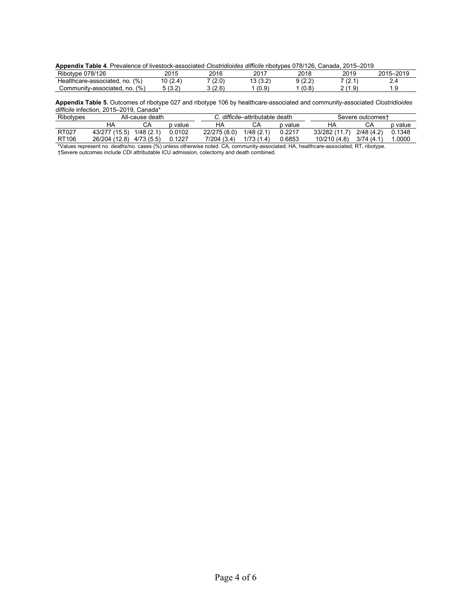| Appendix Table 4. Prevalence of livestock-associated <i>Clostridioides difficile</i> ribotypes 078/126, Canada, 2015–2019 |  |  |  |  |
|---------------------------------------------------------------------------------------------------------------------------|--|--|--|--|
|---------------------------------------------------------------------------------------------------------------------------|--|--|--|--|

| Ribotype 078/126                     | 2015                     | 2016                | 2017               | 2018           | 2019              | 5–2019<br>001E |
|--------------------------------------|--------------------------|---------------------|--------------------|----------------|-------------------|----------------|
| (9/0)<br>Healthcare-associated, no.  | (24)<br>$\cdot$ . $\sim$ | (2.0)<br>$\sqrt{2}$ | (2.0)<br>I J I J.Z | (0, 0)<br>12.Z | $\sqrt{2}$<br>.   |                |
| (9/0)<br>Community-associated.<br>no | (0, 0)<br>10.Z           | 8 (2.6)             | (0, 0)<br>1 U.J    | (0.8)          | $(1 \Omega)$<br>- |                |

**Appendix Table 5.** Outcomes of ribotype 027 and ribotype 106 by healthcare-associated and community-associated *Clostridioides difficile* infection, 2015–2019, Canada\*

| Ribotypes    |                          | All-cause death |         |              | . <i>difficile</i> –attributable death |         |                                                                                                                | Severe outcomest |         |
|--------------|--------------------------|-----------------|---------|--------------|----------------------------------------|---------|----------------------------------------------------------------------------------------------------------------|------------------|---------|
|              |                          |                 | o value |              |                                        | p value | HA                                                                                                             |                  | p value |
| <b>RT027</b> | 43/277 (15.5)            | 1/48(2.1)       | 0.0102  | 22/275 (8.0) | 1/48(2.1)                              | 0.2217  | 33/282 (11.7)                                                                                                  | 2/48(4.2)        | 0.1348  |
| RT106        | 26/204 (12.8) 4/73 (5.5) |                 | 0.1227  | 7/204 (3.4)  | 1/73(1.4)                              | 0.6853  | 10/210 (4.8)                                                                                                   | 3/74(4.1)        | 1.0000  |
|              |                          |                 |         |              |                                        |         | will a lait with a low the latter that the theory of the second the second terms of the contract of the second |                  |         |

\*Values represent no. deaths/no. cases (%) unless otherwise noted. CA, community-associated; HA, healthcare-associated; RT, ribotype. †Severe outcomes include CDI attributable ICU admission, colectomy and death combined.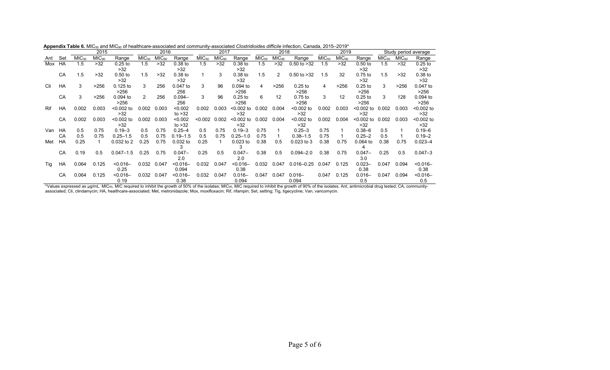|     |     |                   | 2015              |               |                   | 2016              |              |                   | 2017              |              |                   | 2018              |                 |                   | 2019              |              |                   |                   | Study period average |
|-----|-----|-------------------|-------------------|---------------|-------------------|-------------------|--------------|-------------------|-------------------|--------------|-------------------|-------------------|-----------------|-------------------|-------------------|--------------|-------------------|-------------------|----------------------|
| Ant | Set | MIC <sub>50</sub> | MIC <sub>90</sub> | Range         | MIC <sub>50</sub> | MIC <sub>90</sub> | Range        | MIC <sub>50</sub> | MIC <sub>90</sub> | Range        | MIC <sub>50</sub> | MIC <sub>90</sub> | Range           | MIC <sub>50</sub> | MIC <sub>90</sub> | Range        | MIC <sub>50</sub> | MIC <sub>90</sub> | Range                |
| Mox | HA  | 1.5               | >32               | $0.25$ to     | 1.5               | $>32$             | $0.38$ to    | 1.5               | >32               | $0.38$ to    | 1.5               | >32               | $0.50$ to $>32$ | 1.5               | >32               | $0.50$ to    | 1.5               | $>32$             | $0.25$ to            |
|     |     |                   |                   | >32           |                   |                   | >32          |                   |                   | >32          |                   |                   |                 |                   |                   | >32          |                   |                   | >32                  |
|     | CA  | 1.5               | >32               | $0.50$ to     | 1.5               | $>32$             | 0.38 to      |                   | 3                 | $0.38$ to    | 1.5               | $\overline{2}$    | $0.50$ to $>32$ | 1.5               | 32                | 0.75 to      | 1.5               | $>32$             | $0.38$ to            |
|     |     |                   |                   | >32           |                   |                   | >32          |                   |                   | >32          |                   |                   |                 |                   |                   | >32          |                   |                   | >32                  |
| Cli | HA  | 3                 | >256              | $0.125$ to    | 3                 | 256               | $0.047$ to   | 3                 | 96                | $0.094$ to   | 4                 | >256              | $0.25$ to       | 4                 | >256              | $0.25$ to    | 3                 | >256              | 0.047 to             |
|     |     |                   |                   | >256          |                   |                   | 256          |                   |                   | >256         |                   |                   | >256            |                   |                   | >256         |                   |                   | >256                 |
|     | CA  | 3                 | >256              | $0.094$ to    | $\mathcal{P}$     | 256               | $0.094 -$    | 3                 | 96                | $0.25$ to    | 6                 | 12                | $0.75$ to       | 3                 | 12                | $0.25$ to    | 3                 | 128               | 0.094 to             |
|     |     |                   |                   | >256          |                   |                   | 256          |                   |                   | >256         |                   |                   | >256            |                   |                   | >256         |                   |                   | >256                 |
| Rif | HA  | 0.002             | 0.003             | $< 0.002$ to  | 0.002             | 0.003             | < 0.002      | 0.002             | 0.003             | $< 0.002$ to | 0.002             | 0.004             | $< 0.002$ to    | 0.002             | 0.003             | <0.002 to    | 0.002             | 0.003             | $< 0.002$ to         |
|     |     |                   |                   | >32           |                   |                   | to $>32$     |                   |                   | >32          |                   |                   | >32             |                   |                   | >32          |                   |                   | >32                  |
|     | CA  | 0.002             | 0.003             | $< 0.002$ to  | 0.002             | 0.003             | < 0.002      | < 0.002           | 0.002             | $< 0.002$ to | 0.002             | 0.004             | $< 0.002$ to    | 0.002             | 0.004             | $< 0.002$ to | 0.002             | 0.003             | $< 0.002$ to         |
|     |     |                   |                   | $>32$         |                   |                   | to $>32$     |                   |                   | >32          |                   |                   | $>32$           |                   |                   | >32          |                   |                   | $>32$                |
| Van | HA  | 0.5               | 0.75              | $0.19 - 3$    | 0.5               | 0.75              | $0.25 - 4$   | 0.5               | 0.75              | $0.19 - 3$   | 0.75              |                   | $0.25 - 3$      | 0.75              |                   | $0.38 - 6$   | 0.5               |                   | $0.19 - 6$           |
|     | CA  | 0.5               | 0.75              | $0.25 - 1.5$  | 0.5               | 0.75              | $0.19 - 1.5$ | 0.5               | 0.75              | $0.25 - 1.0$ | 0.75              |                   | $0.38 - 1.5$    | 0.75              |                   | $0.25 - 2$   | 0.5               |                   | $0.19 - 2$           |
| Met | HA  | 0.25              |                   | 0.032 to 2    | 0.25              | 0.75              | $0.032$ to   | 0.25              |                   | $0.023$ to   | 0.38              | 0.5               | $0.023$ to 3    | 0.38              | 0.75              | $0.064$ to   | 0.38              | 0.75              | $0.023 - 4$          |
|     |     |                   |                   |               |                   |                   | 3            |                   |                   |              |                   |                   |                 |                   |                   |              |                   |                   |                      |
|     | CA  | 0.19              | 0.5               | $0.047 - 1.5$ | 0.25              | 0.75              | $0.047 -$    | 0.25              | 0.5               | $0.047 -$    | 0.38              | 0.5               | $0.094 - 2.0$   | 0.38              | 0.75              | $0.047 -$    | 0.25              | 0.5               | $0.047 - 3$          |
|     |     |                   |                   |               |                   |                   | 2.0          |                   |                   | 2.0          |                   |                   |                 |                   |                   | 3.0          |                   |                   |                      |
| Tig | HA  | 0.064             | 0.125             | $< 0.016 -$   | 0.032             | 0.047             | $< 0.016 -$  | 0.032             | 0.047             | $< 0.016 -$  | 0.032             | 0.047             | $0.016 - 0.25$  | 0.047             | 0.125             | $0.023 -$    | 0.047             | 0.094             | $< 0.016 -$          |
|     |     |                   |                   | 0.25          |                   |                   | 0.094        |                   |                   | 0.38         |                   |                   |                 |                   |                   | 0.38         |                   |                   | 0.38                 |
|     | CA  | 0.064             | 0.125             | $< 0.016 -$   | 0.032             | 0.047             | $< 0.016 -$  | 0.032             | 0.047             | $0.016 -$    | 0.047             | 0.047             | $0.016 -$       | 0.047             | 0.125             | $0.016 -$    | 0.047             | 0.094             | $< 0.016 -$          |
|     |     |                   |                   | 0.19          |                   |                   | 0.38         |                   |                   | 0.094        |                   |                   | 0.094           |                   |                   | 0.5          |                   |                   | 0.5                  |

Appendix Table 6. MIC<sub>50</sub> and MIC<sub>90</sub> of healthcare-associated and community-associated *Clostridioides difficile* infection, Canada, 2015–2019<sup>\*</sup>

\*Values expressed as µg/mL. MIC $_{50}$ , MIC required to inhibit the growth of 50% of the isolates; MIC $_{90}$ , MIC required to inhibit the growth of 50% of the isolates. Anterprowth of 90% of the isolates. Ant, antimicrobia associated; Cli, clindamycin; HA, healthcare-associated; Met, metronidazole; Mox, moxifloxacin; Rif, rifampin; Set, setting; Tig, tigecycline; Van, vancomycin.